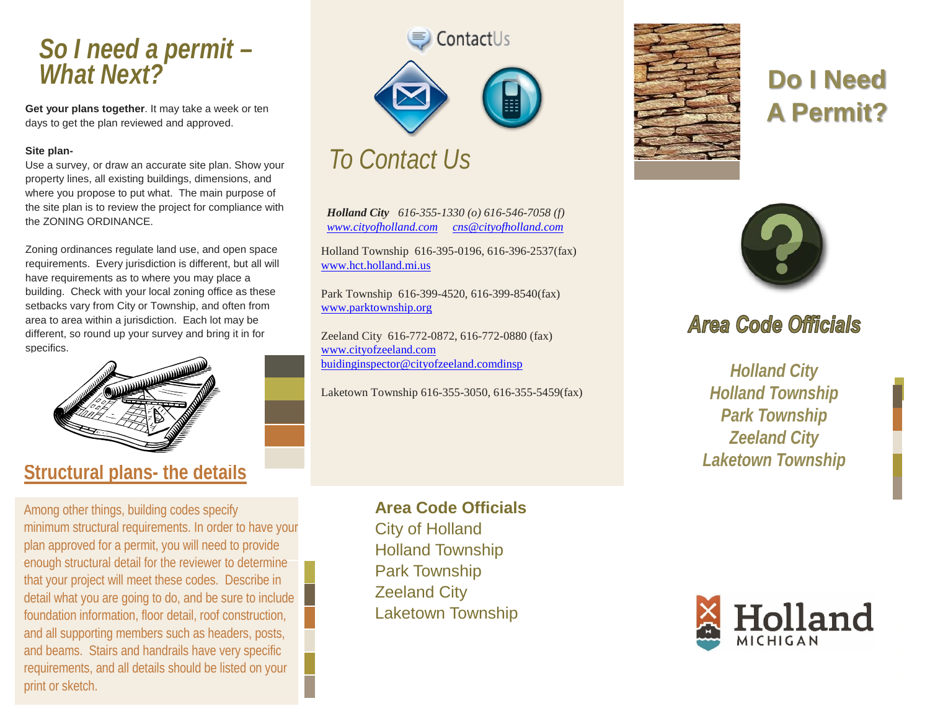## *So I need a permit – What Next?*

**Get your plans together**. It may take a week or ten days to get the plan reviewed and approved.

#### **Site plan-**

Use a survey, or draw an accurate site plan. Show your property lines, all existing buildings, dimensions, and where you propose to put what. The main purpose of the site plan is to review the project for compliance with the ZONING ORDINANCE.

Zoning ordinances regulate land use, and open space requirements. Every jurisdiction is different, but all will have requirements as to where you may place a building. Check with your local zoning office as these setbacks vary from City or Township, and often from area to area within a jurisdiction. Each lot may be different, so round up your survey and bring it in for specifics.



### **Structural plans- the details**

Among other things, building codes specify minimum structural requirements. In order to have your plan approved for a permit, you will need to provide enough structural detail for the reviewer to determine that your project will meet these codes. Describe in detail what you are going to do, and be sure to include foundation information, floor detail, roof construction, and all supporting members such as headers, posts, and beams. Stairs and handrails have very specific requirements, and all details should be listed on your print or sketch.





## *To Contact Us*

*Holland City 616-355-1330 (o) 616-546-7058 (f) [www.cityofholland.com](http://www.cityofholland.com/) [cns@cityofholland.com](mailto:cns@cityofholland.com)*

Holland Township 616-395-0196, 616-396-2537(fax) [www.hct.holland.mi.us](http://www.hct.holland.mi.us/)

Park Township 616-399-4520, 616-399-8540(fax) [www.parktownship.org](http://www.parktownship.org/)

Zeeland City 616-772-0872, 616-772-0880 (fax) www.cityofzeeland.com [buidinginspector@cityofzeeland.comdinsp](mailto:buidinginspector@cityofzeeland.comdinsp)

Laketown Township 616-355-3050, 616-355-5459(fax)

**Area Code Officials** City of Holland Holland Township Park Township Zeeland City Laketown Township



## **Do I Need A Permit?**



### **Area Code Officials**

*Holland City Holland Township Park Township Zeeland City Laketown Township*